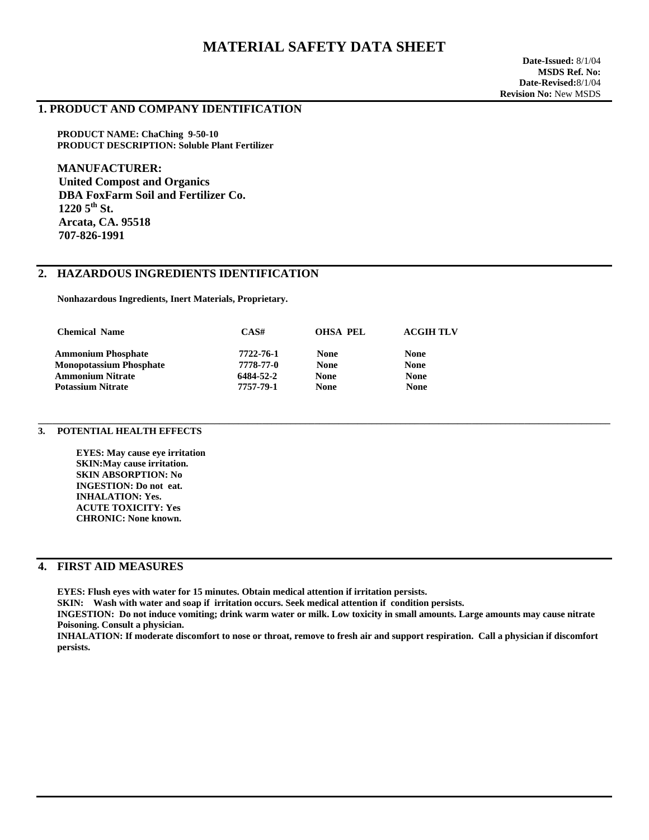# **MATERIAL SAFETY DATA SHEET**

#### **1. PRODUCT AND COMPANY IDENTIFICATION**

**PRODUCT NAME: ChaChing 9-50-10 PRODUCT DESCRIPTION: Soluble Plant Fertilizer** 

**MANUFACTURER: United Compost and Organics DBA FoxFarm Soil and Fertilizer Co.**   $12205$ <sup>th</sup> St.  **Arcata, CA. 95518 707-826-1991** 

## **2. HAZARDOUS INGREDIENTS IDENTIFICATION**

 **Nonhazardous Ingredients, Inert Materials, Proprietary.** 

| CAS#      | OHSA PEL    | <b>ACGIH TLV</b> |
|-----------|-------------|------------------|
| 7722-76-1 | <b>None</b> | <b>None</b>      |
| 7778-77-0 | <b>None</b> | <b>None</b>      |
| 6484-52-2 | <b>None</b> | <b>None</b>      |
| 7757-79-1 | <b>None</b> | <b>None</b>      |
|           |             |                  |

#### **3. POTENTIAL HEALTH EFFECTS**

 **EYES: May cause eye irritation SKIN:May cause irritation. SKIN ABSORPTION: No INGESTION: Do not eat. INHALATION: Yes. ACUTE TOXICITY: Yes CHRONIC: None known.** 

## **4. FIRST AID MEASURES**

**EYES: Flush eyes with water for 15 minutes. Obtain medical attention if irritation persists.**

 **SKIN: Wash with water and soap if irritation occurs. Seek medical attention if condition persists.**

 **INGESTION: Do not induce vomiting; drink warm water or milk. Low toxicity in small amounts. Large amounts may cause nitrate Poisoning. Consult a physician.**

**\_\_\_\_\_\_\_\_\_\_\_\_\_\_\_\_\_\_\_\_\_\_\_\_\_\_\_\_\_\_\_\_\_\_\_\_\_\_\_\_\_\_\_\_\_\_\_\_\_\_\_\_\_\_\_\_\_\_\_\_\_\_\_\_\_\_\_\_\_\_\_\_\_\_\_\_\_\_\_\_\_\_\_\_\_\_\_\_\_\_\_\_\_\_\_\_\_\_\_\_\_\_\_\_\_\_\_\_\_\_\_\_\_\_\_\_\_\_\_\_** 

 **INHALATION: If moderate discomfort to nose or throat, remove to fresh air and support respiration. Call a physician if discomfort persists.**